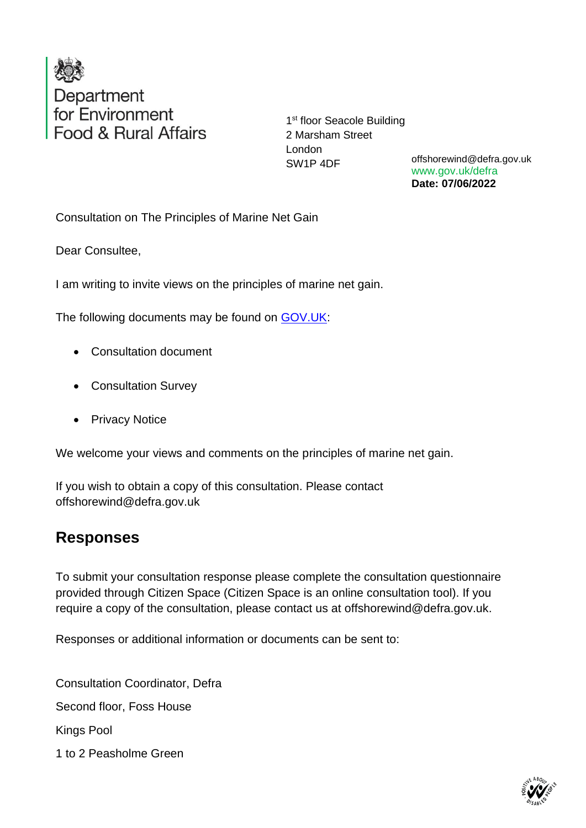

1<sup>st</sup> floor Seacole Building 2 Marsham Street London SW1P 4DF

offshorewind@defra.gov.uk www.gov.uk/defra **Date: 07/06/2022**

Consultation on The Principles of Marine Net Gain

Dear Consultee,

I am writing to invite views on the principles of marine net gain.

The following documents may be found on [GOV.UK:](https://eur03.safelinks.protection.outlook.com/?url=https%3A%2F%2Fwww.gov.uk%2Fgovernment%2Fconsultations%2Fconsultation-on-the-principles-of-marine-net-gain&data=05%7C01%7Candrew.jackson-kirby%40defra.gov.uk%7C974aac3453c64831162708da485fee18%7C770a245002274c6290c74e38537f1102%7C0%7C0%7C637901874097581954%7CUnknown%7CTWFpbGZsb3d8eyJWIjoiMC4wLjAwMDAiLCJQIjoiV2luMzIiLCJBTiI6Ik1haWwiLCJXVCI6Mn0%3D%7C3000%7C%7C%7C&sdata=Xq90wS6Rlfa5VdZ8Zc8Sqm%2BGltouxojiMz4CfiLYy48%3D&reserved=0)

- Consultation document
- Consultation Survey
- Privacy Notice

We welcome your views and comments on the principles of marine net gain.

If you wish to obtain a copy of this consultation. Please contact offshorewind@defra.gov.uk

## **Responses**

To submit your consultation response please complete the consultation questionnaire provided through Citizen Space (Citizen Space is an online consultation tool). If you require a copy of the consultation, please contact us at offshorewind@defra.gov.uk.

Responses or additional information or documents can be sent to:

Consultation Coordinator, Defra Second floor, Foss House Kings Pool 1 to 2 Peasholme Green

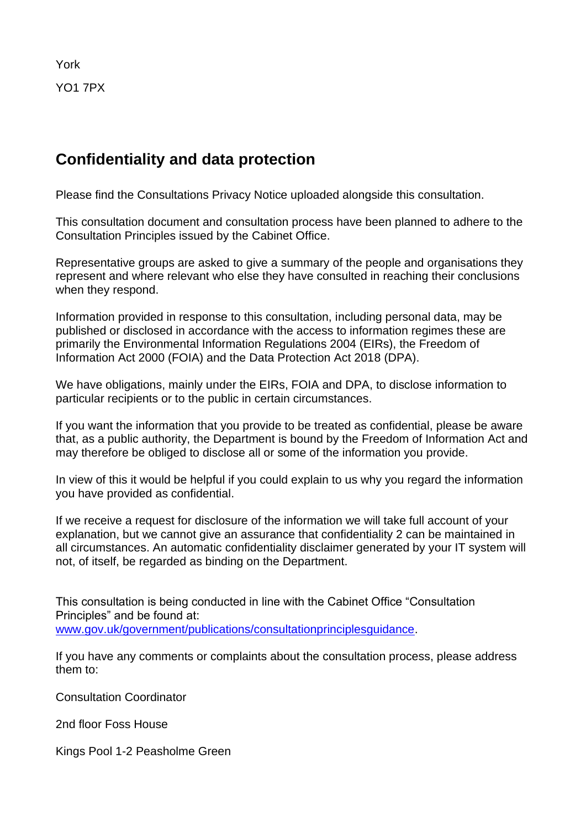York YO1 7PX

## **Confidentiality and data protection**

Please find the Consultations Privacy Notice uploaded alongside this consultation.

This consultation document and consultation process have been planned to adhere to the Consultation Principles issued by the Cabinet Office.

Representative groups are asked to give a summary of the people and organisations they represent and where relevant who else they have consulted in reaching their conclusions when they respond.

Information provided in response to this consultation, including personal data, may be published or disclosed in accordance with the access to information regimes these are primarily the Environmental Information Regulations 2004 (EIRs), the Freedom of Information Act 2000 (FOIA) and the Data Protection Act 2018 (DPA).

We have obligations, mainly under the EIRs, FOIA and DPA, to disclose information to particular recipients or to the public in certain circumstances.

If you want the information that you provide to be treated as confidential, please be aware that, as a public authority, the Department is bound by the Freedom of Information Act and may therefore be obliged to disclose all or some of the information you provide.

In view of this it would be helpful if you could explain to us why you regard the information you have provided as confidential.

If we receive a request for disclosure of the information we will take full account of your explanation, but we cannot give an assurance that confidentiality 2 can be maintained in all circumstances. An automatic confidentiality disclaimer generated by your IT system will not, of itself, be regarded as binding on the Department.

This consultation is being conducted in line with the Cabinet Office "Consultation Principles" and be found at: [www.gov.uk/government/publications/consultationprinciplesguidance.](http://www.gov.uk/government/publications/consultationprinciplesguidance)

If you have any comments or complaints about the consultation process, please address them to:

Consultation Coordinator

2nd floor Foss House

Kings Pool 1-2 Peasholme Green